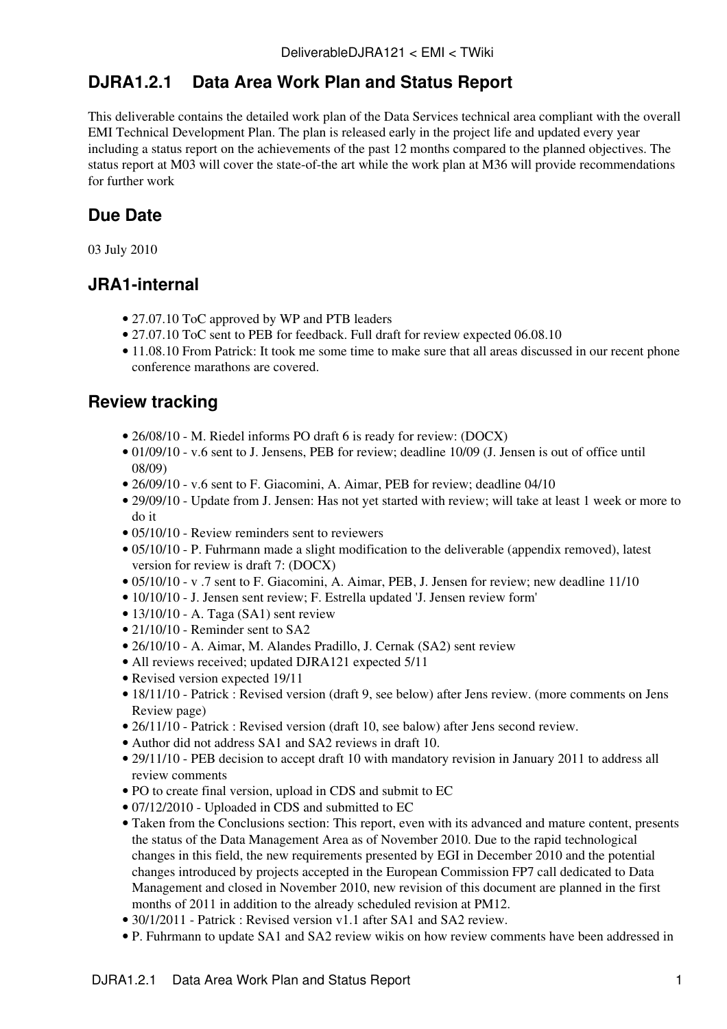# **DJRA1.2.1 Data Area Work Plan and Status Report**

This deliverable contains the detailed work plan of the Data Services technical area compliant with the overall EMI Technical Development Plan. The plan is released early in the project life and updated every year including a status report on the achievements of the past 12 months compared to the planned objectives. The status report at M03 will cover the state-of-the art while the work plan at M36 will provide recommendations for further work

# **Due Date**

03 July 2010

## **JRA1-internal**

- 27.07.10 [ToC](https://twiki.cern.ch/twiki/bin/edit/EMI/ToC?topicparent=EMI.DeliverableDJRA121;nowysiwyg=1) approved by WP and [PTB](https://twiki.cern.ch/twiki/bin/view/EMI/PTB) leaders
- 27.07.10 [ToC](https://twiki.cern.ch/twiki/bin/edit/EMI/ToC?topicparent=EMI.DeliverableDJRA121;nowysiwyg=1) sent to [PEB](https://twiki.cern.ch/twiki/bin/view/EMI/PEB) for feedback. Full draft for review expected 06.08.10
- 11.08.10 From Patrick: It took me some time to make sure that all areas discussed in our recent phone conference marathons are covered.

## **Review tracking**

- 26/08/10 M. Riedel informs PO draft 6 is ready for review: ([DOCX\)](https://twiki.cern.ch/twiki/pub/EMI/DeliverableDJRA121/EMI_DJRA1.2.1-draft-6d.docx)
- 01/09/10 v.6 sent to J. Jensens, [PEB](https://twiki.cern.ch/twiki/bin/view/EMI/PEB) for review; deadline 10/09 (J. Jensen is out of office until 08/09)
- 26/09/10 v.6 sent to F. Giacomini, A. Aimar, [PEB](https://twiki.cern.ch/twiki/bin/view/EMI/PEB) for review; deadline 04/10
- 29/09/10 Update from J. Jensen: Has not yet started with review; will take at least 1 week or more to do it
- 05/10/10 Review reminders sent to reviewers
- 05/10/10 P. Fuhrmann made a slight modification to the deliverable (appendix removed), latest version for review is draft 7: ([DOCX](https://twiki.cern.ch/twiki/pub/EMI/DeliverableDJRA121/EMI_DJRA1.2.1-draft-7.docx))
- 05/10/10 v .7 sent to F. Giacomini, A. Aimar, [PEB](https://twiki.cern.ch/twiki/bin/view/EMI/PEB), J. Jensen for review; new deadline 11/10
- 10/10/10 J. Jensen sent review; F. Estrella updated 'J. Jensen review form'
- 13/10/10 A. Taga (SA1) sent review
- 21/10/10 Reminder sent to SA2
- 26/10/10 A. Aimar, M. Alandes Pradillo, J. Cernak (SA2) sent review
- All reviews received; updated DJRA121 expected 5/11
- Revised version expected 19/11
- 18/11/10 Patrick : Revised version (draft 9, see below) after Jens review. (more comments on Jens Review page)
- 26/11/10 Patrick : Revised version (draft 10, see balow) after Jens second review.
- Author did not address SA1 and SA2 reviews in draft 10.
- 29/11/10 - [PEB](https://twiki.cern.ch/twiki/bin/view/EMI/PEB) decision to accept draft 10 with mandatory revision in January 2011 to address all review comments
- PO to create final version, upload in CDS and submit to EC
- 07/12/2010 Uploaded in CDS and submitted to EC
- Taken from the Conclusions section: This report, even with its advanced and mature content, presents the status of the Data Management Area as of November 2010. Due to the rapid technological changes in this field, the new requirements presented by EGI in December 2010 and the potential changes introduced by projects accepted in the European Commission FP7 call dedicated to Data Management and closed in November 2010, new revision of this document are planned in the first months of 2011 in addition to the already scheduled revision at PM12.
- 30/1/2011 Patrick : Revised [version v1.1](https://twiki.cern.ch/twiki/pub/EMI/DeliverableDJRA121/EMI_DJRA1.2.1-1277615-Data_Area_Work_Plan_v1.1.doc) after SA1 and SA2 review.
- P. Fuhrmann to update SA1 and SA2 review wikis on how review comments have been addressed in